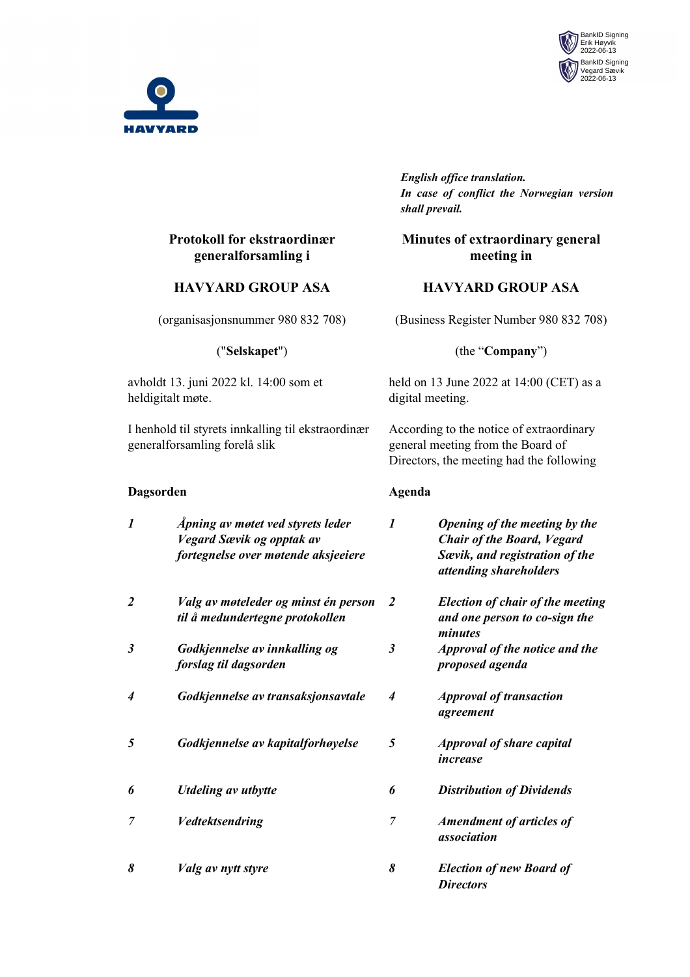



# **Protokoll for ekstraordinær generalforsamling i**

#### **HAVYARD GROUP ASA**

(organisasjonsnummer 980 832 708)

("**Selskapet**")

avholdt 13. juni 2022 kl. 14:00 som et heldigitalt møte.

I henhold til styrets innkalling til ekstraordinær generalforsamling forelå slik

#### **Dagsorden Agenda**

*English office translation. In case of conflict the Norwegian version shall prevail.*

### **Minutes of extraordinary general meeting in**

### **HAVYARD GROUP ASA**

(Business Register Number 980 832 708)

#### (the "**Company**")

held on 13 June 2022 at 14:00 (CET) as a digital meeting.

According to the notice of extraordinary general meeting from the Board of Directors, the meeting had the following

| $\boldsymbol{l}$ | Apning av møtet ved styrets leder<br>Vegard Sævik og opptak av<br>fortegnelse over møtende aksjeeiere | 1                | Opening of the meeting by the<br><b>Chair of the Board, Vegard</b><br>Sævik, and registration of the<br>attending shareholders |
|------------------|-------------------------------------------------------------------------------------------------------|------------------|--------------------------------------------------------------------------------------------------------------------------------|
| 2                | Valg av møteleder og minst én person<br>til å medundertegne protokollen                               | 2                | <b>Election of chair of the meeting</b><br>and one person to co-sign the<br>minutes                                            |
| $\mathfrak{Z}$   | Godkjennelse av innkalling og<br>forslag til dagsorden                                                | $\mathfrak{z}$   | Approval of the notice and the<br>proposed agenda                                                                              |
| 4                | Godkjennelse av transaksjonsavtale                                                                    | $\boldsymbol{4}$ | <b>Approval of transaction</b><br>agreement                                                                                    |
| 5                | Godkjennelse av kapitalforhøyelse                                                                     | 5                | <b>Approval of share capital</b><br>increase                                                                                   |
| 6                | <b>Utdeling av utbytte</b>                                                                            | 6                | <b>Distribution of Dividends</b>                                                                                               |
| 7                | <b>Vedtektsendring</b>                                                                                | 7                | <b>Amendment of articles of</b><br>association                                                                                 |
| 8                | Valg av nytt styre                                                                                    | 8                | <b>Election of new Board of</b><br><b>Directors</b>                                                                            |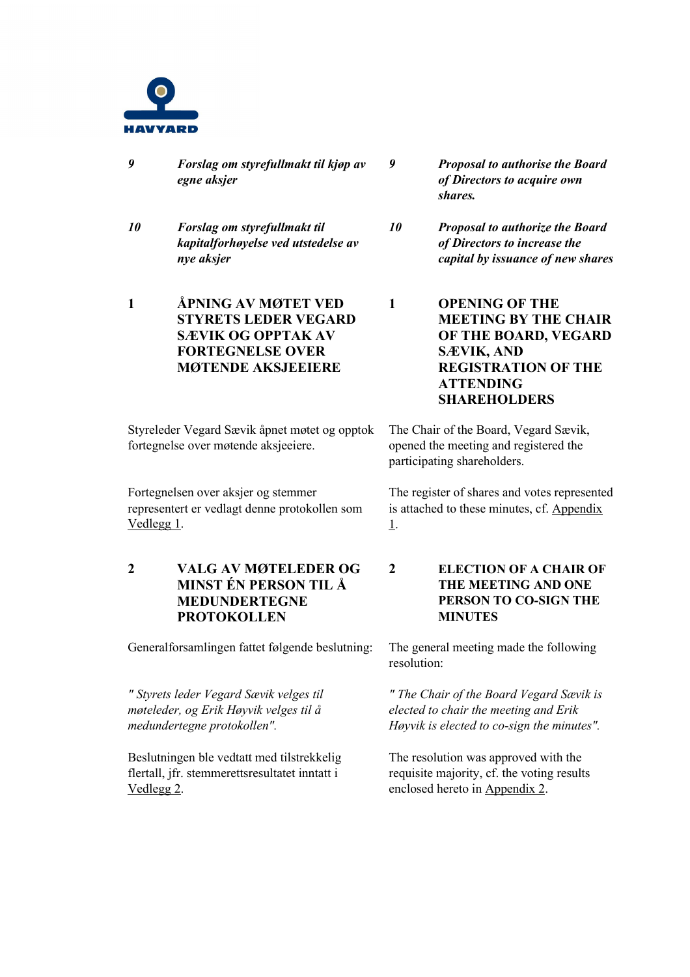

- *9 Forslag om styrefullmakt til kjøp av egne aksjer*
- *10 Forslag om styrefullmakt til kapitalforhøyelse ved utstedelse av nye aksjer*
- **1 ÅPNING AV MØTET VED STYRETS LEDER VEGARD SÆVIK OG OPPTAK AV FORTEGNELSE OVER MØTENDE AKSJEEIERE**

Styreleder Vegard Sævik åpnet møtet og opptok fortegnelse over møtende aksjeeiere.

Fortegnelsen over aksjer og stemmer representert er vedlagt denne protokollen som Vedlegg 1.

**2 VALG AV MØTELEDER OG MINST ÉN PERSON TIL Å MEDUNDERTEGNE PROTOKOLLEN**

Generalforsamlingen fattet følgende beslutning: The general meeting made the following

*" Styrets leder Vegard Sævik velges til møteleder, og Erik Høyvik velges til å medundertegne protokollen".* 

Beslutningen ble vedtatt med tilstrekkelig flertall, jfr. stemmerettsresultatet inntatt i Vedlegg 2.

- *9 Proposal to authorise the Board of Directors to acquire own shares.*
- *10 Proposal to authorize the Board of Directors to increase the capital by issuance of new shares*
- **1 OPENING OF THE MEETING BY THE CHAIR OF THE BOARD, VEGARD SÆVIK, AND REGISTRATION OF THE ATTENDING SHAREHOLDERS**

The Chair of the Board, Vegard Sævik, opened the meeting and registered the participating shareholders.

The register of shares and votes represented is attached to these minutes, cf. Appendix 1.

**2 ELECTION OF A CHAIR OF THE MEETING AND ONE PERSON TO CO-SIGN THE MINUTES**

resolution:

*" The Chair of the Board Vegard Sævik is elected to chair the meeting and Erik Høyvik is elected to co-sign the minutes".* 

The resolution was approved with the requisite majority, cf. the voting results enclosed hereto in Appendix 2.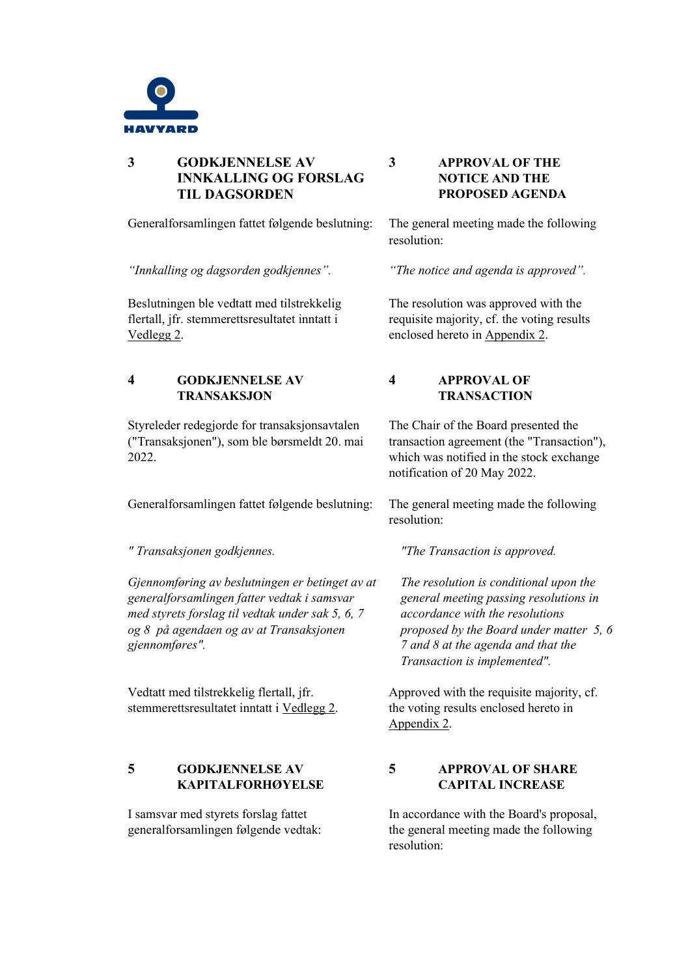

### **3 GODKJENNELSE AV INNKALLING OG FORSLAG TIL DAGSORDEN**

Generalforsamlingen fattet følgende beslutning: The general meeting made the following

*"Innkalling og dagsorden godkjennes". "The notice and agenda is approved".* 

Beslutningen ble vedtatt med tilstrekkelig flertall, jfr. stemmerettsresultatet inntatt i Vedlegg 2.

### **4 GODKJENNELSE AV TRANSAKSJON**

Styreleder redegjorde for transaksjonsavtalen ("Transaksjonen"), som ble børsmeldt 20. mai 2022.

Generalforsamlingen fattet følgende beslutning: The general meeting made the following

*Gjennomføring av beslutningen er betinget av at generalforsamlingen fatter vedtak i samsvar med styrets forslag til vedtak under sak 5, 6, 7 og 8 på agendaen og av at Transaksjonen gjennomføres".* 

Vedtatt med tilstrekkelig flertall, jfr. stemmerettsresultatet inntatt i Vedlegg 2.

# **5 GODKJENNELSE AV KAPITALFORHØYELSE**

I samsvar med styrets forslag fattet generalforsamlingen følgende vedtak:

#### **3 APPROVAL OF THE NOTICE AND THE PROPOSED AGENDA**

resolution:

The resolution was approved with the requisite majority, cf. the voting results enclosed hereto in Appendix 2.

# **4 APPROVAL OF TRANSACTION**

The Chair of the Board presented the transaction agreement (the "Transaction"), which was notified in the stock exchange notification of 20 May 2022.

resolution:

*" Transaksjonen godkjennes. "The Transaction is approved.*

*The resolution is conditional upon the general meeting passing resolutions in accordance with the resolutions proposed by the Board under matter 5, 6 7 and 8 at the agenda and that the Transaction is implemented".*

Approved with the requisite majority, cf. the voting results enclosed hereto in Appendix 2.

# **5 APPROVAL OF SHARE CAPITAL INCREASE**

In accordance with the Board's proposal, the general meeting made the following resolution: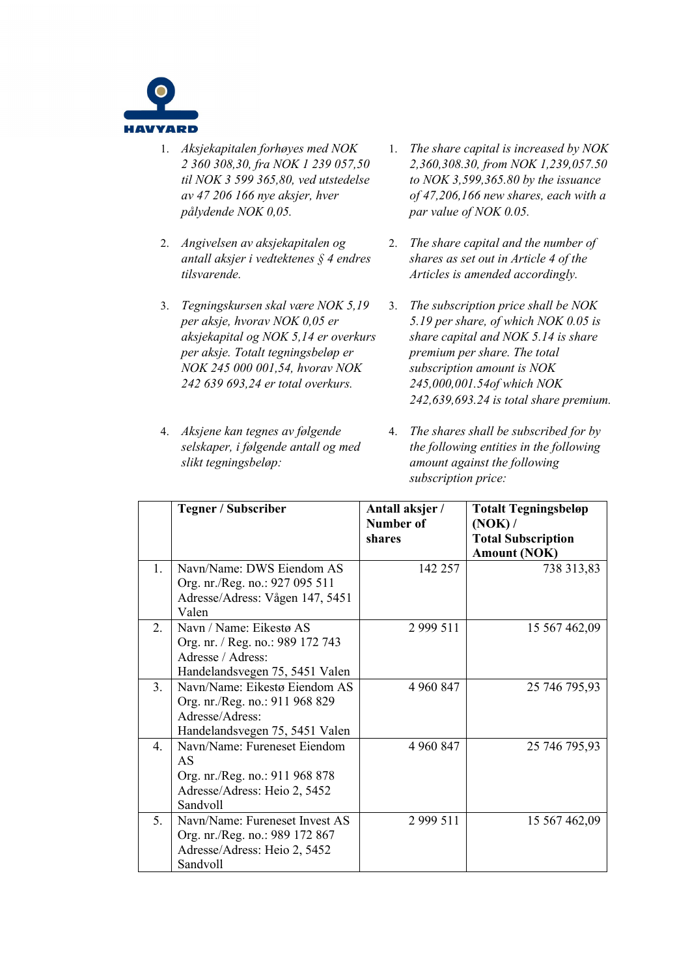

- 1. *Aksjekapitalen forhøyes med NOK 2 360 308,30, fra NOK 1 239 057,50 til NOK 3 599 365,80, ved utstedelse av 47 206 166 nye aksjer, hver pålydende NOK 0,05.*
- 2. *Angivelsen av aksjekapitalen og antall aksjer i vedtektenes § 4 endres tilsvarende.*
- 3. *Tegningskursen skal være NOK 5,19 per aksje, hvorav NOK 0,05 er aksjekapital og NOK 5,14 er overkurs per aksje. Totalt tegningsbeløp er NOK 245 000 001,54, hvorav NOK 242 639 693,24 er total overkurs.*
- 4. *Aksjene kan tegnes av følgende selskaper, i følgende antall og med slikt tegningsbeløp:*
- 1. *The share capital is increased by NOK 2,360,308.30, from NOK 1,239,057.50 to NOK 3,599,365.80 by the issuance of 47,206,166 new shares, each with a par value of NOK 0.05.*
- 2. *The share capital and the number of shares as set out in Article 4 of the Articles is amended accordingly.*
- 3. *The subscription price shall be NOK 5.19 per share, of which NOK 0.05 is share capital and NOK 5.14 is share premium per share. The total subscription amount is NOK 245,000,001.54of which NOK 242,639,693.24 is total share premium.*
- 4. *The shares shall be subscribed for by the following entities in the following amount against the following subscription price:*

|                  | <b>Tegner / Subscriber</b>       | Antall aksjer /<br>Number of<br>shares | <b>Totalt Tegningsbeløp</b><br>(NOK) /<br><b>Total Subscription</b><br><b>Amount (NOK)</b> |
|------------------|----------------------------------|----------------------------------------|--------------------------------------------------------------------------------------------|
| $\mathbf{1}$ .   | Navn/Name: DWS Eiendom AS        | 142 257                                | 738 313,83                                                                                 |
|                  | Org. nr./Reg. no.: 927 095 511   |                                        |                                                                                            |
|                  | Adresse/Adress: Vågen 147, 5451  |                                        |                                                                                            |
|                  | Valen                            |                                        |                                                                                            |
| 2.               | Navn / Name: Eikestø AS          | 2 9 9 5 1 1                            | 15 567 462,09                                                                              |
|                  | Org. nr. / Reg. no.: 989 172 743 |                                        |                                                                                            |
|                  | Adresse / Adress:                |                                        |                                                                                            |
|                  | Handelandsvegen 75, 5451 Valen   |                                        |                                                                                            |
| 3.               | Navn/Name: Eikestø Eiendom AS    | 4 960 847                              | 25 746 795,93                                                                              |
|                  | Org. nr./Reg. no.: 911 968 829   |                                        |                                                                                            |
|                  | Adresse/Adress:                  |                                        |                                                                                            |
|                  | Handelandsvegen 75, 5451 Valen   |                                        |                                                                                            |
| $\overline{4}$ . | Navn/Name: Fureneset Eiendom     | 4 960 847                              | 25 746 795,93                                                                              |
|                  | AS                               |                                        |                                                                                            |
|                  | Org. nr./Reg. no.: 911 968 878   |                                        |                                                                                            |
|                  | Adresse/Adress: Heio 2, 5452     |                                        |                                                                                            |
|                  | Sandvoll                         |                                        |                                                                                            |
| 5 <sub>1</sub>   | Navn/Name: Fureneset Invest AS   | 2 9 9 5 1 1                            | 15 567 462,09                                                                              |
|                  | Org. nr./Reg. no.: 989 172 867   |                                        |                                                                                            |
|                  | Adresse/Adress: Heio 2, 5452     |                                        |                                                                                            |
|                  | Sandvoll                         |                                        |                                                                                            |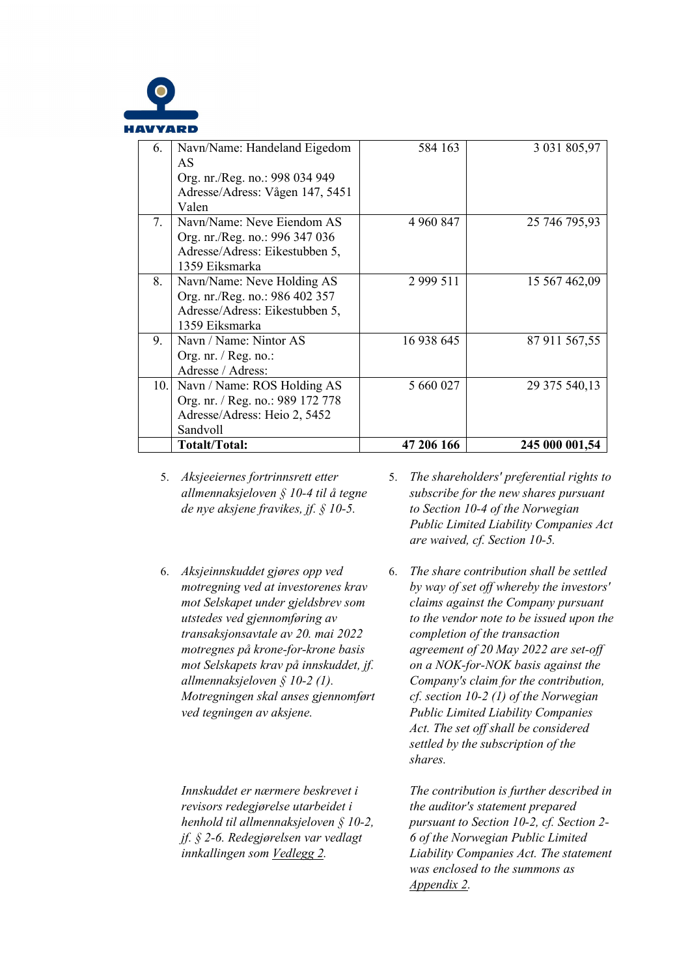

| 6.   | Navn/Name: Handeland Eigedom<br>AS<br>Org. nr./Reg. no.: 998 034 949 | 584 163     | 3 031 805,97   |
|------|----------------------------------------------------------------------|-------------|----------------|
|      | Adresse/Adress: Vågen 147, 5451                                      |             |                |
|      | Valen                                                                |             |                |
| 7.   | Navn/Name: Neve Eiendom AS                                           | 4 960 847   | 25 746 795,93  |
|      | Org. nr./Reg. no.: 996 347 036                                       |             |                |
|      | Adresse/Adress: Eikestubben 5,                                       |             |                |
|      | 1359 Eiksmarka                                                       |             |                |
| 8.   | Navn/Name: Neve Holding AS                                           | 2 9 9 5 1 1 | 15 567 462,09  |
|      | Org. nr./Reg. no.: 986 402 357                                       |             |                |
|      | Adresse/Adress: Eikestubben 5,                                       |             |                |
|      | 1359 Eiksmarka                                                       |             |                |
| 9.   | Navn / Name: Nintor AS                                               | 16 938 645  | 87 911 567,55  |
|      | Org. nr. / Reg. no.:                                                 |             |                |
|      | Adresse / Adress:                                                    |             |                |
| 10.1 | Navn / Name: ROS Holding AS                                          | 5 660 027   | 29 375 540,13  |
|      | Org. nr. / Reg. no.: 989 172 778                                     |             |                |
|      | Adresse/Adress: Heio 2, 5452                                         |             |                |
|      | Sandvoll                                                             |             |                |
|      | Totalt/Total:                                                        | 47 206 166  | 245 000 001,54 |

- 5. *Aksjeeiernes fortrinnsrett etter allmennaksjeloven § 10-4 til å tegne de nye aksjene fravikes, jf. § 10-5.*
- 6. *Aksjeinnskuddet gjøres opp ved motregning ved at investorenes krav mot Selskapet under gjeldsbrev som utstedes ved gjennomføring av transaksjonsavtale av 20. mai 2022 motregnes på krone-for-krone basis mot Selskapets krav på innskuddet, jf. allmennaksjeloven § 10-2 (1). Motregningen skal anses gjennomført ved tegningen av aksjene.*

*Innskuddet er nærmere beskrevet i revisors redegjørelse utarbeidet i henhold til allmennaksjeloven § 10-2, jf. § 2-6. Redegjørelsen var vedlagt innkallingen som Vedlegg 2.* 

- 5. *The shareholders' preferential rights to subscribe for the new shares pursuant to Section 10-4 of the Norwegian Public Limited Liability Companies Act are waived, cf. Section 10-5.*
- 6. *The share contribution shall be settled by way of set off whereby the investors' claims against the Company pursuant to the vendor note to be issued upon the completion of the transaction agreement of 20 May 2022 are set-off on a NOK-for-NOK basis against the Company's claim for the contribution, cf. section 10-2 (1) of the Norwegian Public Limited Liability Companies Act. The set off shall be considered settled by the subscription of the shares.*

*The contribution is further described in the auditor's statement prepared pursuant to Section 10-2, cf. Section 2- 6 of the Norwegian Public Limited Liability Companies Act. The statement was enclosed to the summons as Appendix 2.*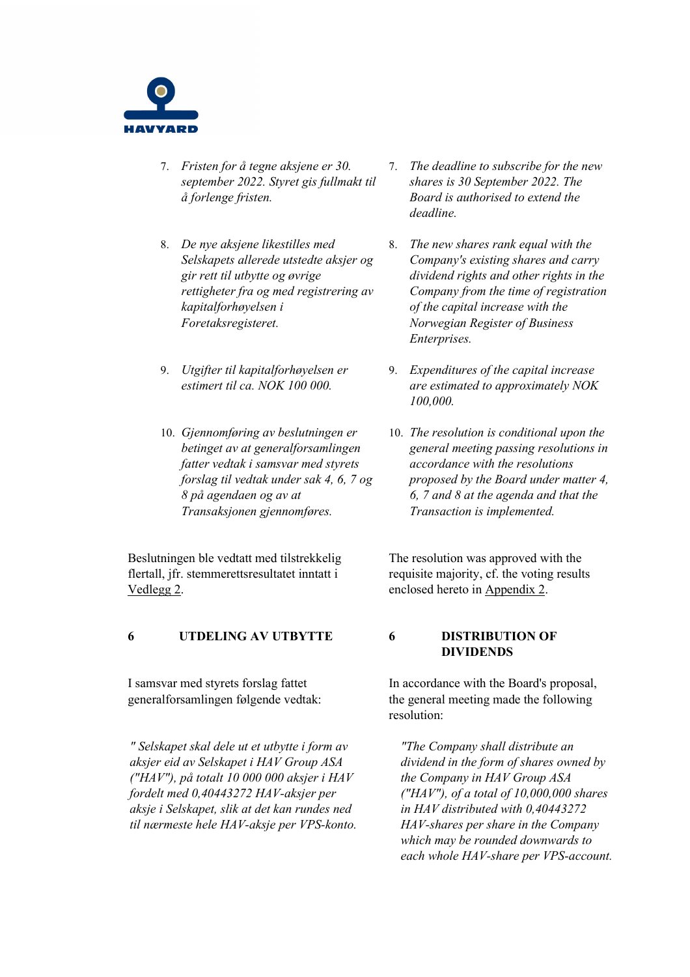

- 7. *Fristen for å tegne aksjene er 30. september 2022. Styret gis fullmakt til å forlenge fristen.*
- 8. *De nye aksjene likestilles med Selskapets allerede utstedte aksjer og gir rett til utbytte og øvrige rettigheter fra og med registrering av kapitalforhøyelsen i Foretaksregisteret.*
- 9. *Utgifter til kapitalforhøyelsen er estimert til ca. NOK 100 000.*
- 10. *Gjennomføring av beslutningen er betinget av at generalforsamlingen fatter vedtak i samsvar med styrets forslag til vedtak under sak 4, 6, 7 og 8 på agendaen og av at Transaksjonen gjennomføres.*

Beslutningen ble vedtatt med tilstrekkelig flertall, jfr. stemmerettsresultatet inntatt i Vedlegg 2.

#### **6 UTDELING AV UTBYTTE 6 DISTRIBUTION OF**

I samsvar med styrets forslag fattet generalforsamlingen følgende vedtak:

*" Selskapet skal dele ut et utbytte i form av aksjer eid av Selskapet i HAV Group ASA ("HAV"), på totalt 10 000 000 aksjer i HAV fordelt med 0,40443272 HAV-aksjer per aksje i Selskapet, slik at det kan rundes ned til nærmeste hele HAV-aksje per VPS-konto.* 

- 7. *The deadline to subscribe for the new shares is 30 September 2022. The Board is authorised to extend the deadline.*
- 8. *The new shares rank equal with the Company's existing shares and carry dividend rights and other rights in the Company from the time of registration of the capital increase with the Norwegian Register of Business Enterprises.*
- 9. *Expenditures of the capital increase are estimated to approximately NOK 100,000.*
- 10. *The resolution is conditional upon the general meeting passing resolutions in accordance with the resolutions proposed by the Board under matter 4, 6, 7 and 8 at the agenda and that the Transaction is implemented.*

The resolution was approved with the requisite majority, cf. the voting results enclosed hereto in Appendix 2.

# **DIVIDENDS**

In accordance with the Board's proposal, the general meeting made the following resolution:

*"The Company shall distribute an dividend in the form of shares owned by the Company in HAV Group ASA ("HAV"), of a total of 10,000,000 shares in HAV distributed with 0,40443272 HAV-shares per share in the Company which may be rounded downwards to each whole HAV-share per VPS-account.*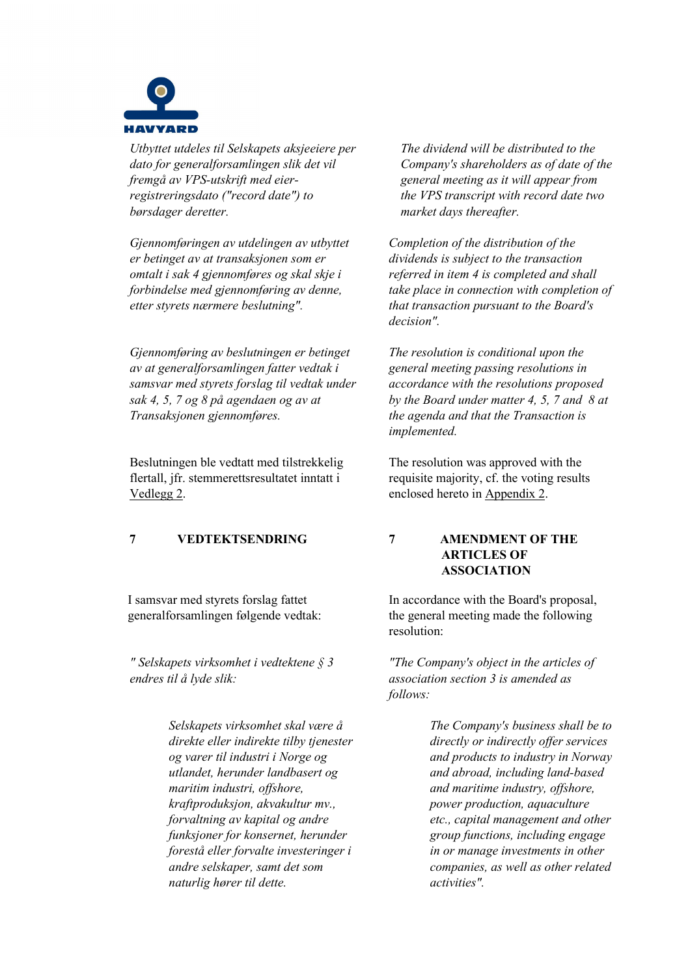

*Utbyttet utdeles til Selskapets aksjeeiere per dato for generalforsamlingen slik det vil fremgå av VPS-utskrift med eierregistreringsdato ("record date") to børsdager deretter.* 

*Gjennomføringen av utdelingen av utbyttet er betinget av at transaksjonen som er omtalt i sak 4 gjennomføres og skal skje i forbindelse med gjennomføring av denne, etter styrets nærmere beslutning".*

*Gjennomføring av beslutningen er betinget av at generalforsamlingen fatter vedtak i samsvar med styrets forslag til vedtak under sak 4, 5, 7 og 8 på agendaen og av at Transaksjonen gjennomføres.* 

Beslutningen ble vedtatt med tilstrekkelig flertall, jfr. stemmerettsresultatet inntatt i Vedlegg 2.

I samsvar med styrets forslag fattet generalforsamlingen følgende vedtak:

*" Selskapets virksomhet i vedtektene § 3 endres til å lyde slik:*

> *Selskapets virksomhet skal være å direkte eller indirekte tilby tjenester og varer til industri i Norge og utlandet, herunder landbasert og maritim industri, offshore, kraftproduksjon, akvakultur mv., forvaltning av kapital og andre funksjoner for konsernet, herunder forestå eller forvalte investeringer i andre selskaper, samt det som naturlig hører til dette.*

*The dividend will be distributed to the Company's shareholders as of date of the general meeting as it will appear from the VPS transcript with record date two market days thereafter.* 

*Completion of the distribution of the dividends is subject to the transaction referred in item 4 is completed and shall take place in connection with completion of that transaction pursuant to the Board's decision".*

*The resolution is conditional upon the general meeting passing resolutions in accordance with the resolutions proposed by the Board under matter 4, 5, 7 and 8 at the agenda and that the Transaction is implemented.*

The resolution was approved with the requisite majority, cf. the voting results enclosed hereto in Appendix 2.

**7 VEDTEKTSENDRING 7 AMENDMENT OF THE ARTICLES OF ASSOCIATION**

> In accordance with the Board's proposal, the general meeting made the following resolution:

> *"The Company's object in the articles of association section 3 is amended as follows:*

> > *The Company's business shall be to directly or indirectly offer services and products to industry in Norway and abroad, including land-based and maritime industry, offshore, power production, aquaculture etc., capital management and other group functions, including engage in or manage investments in other companies, as well as other related activities".*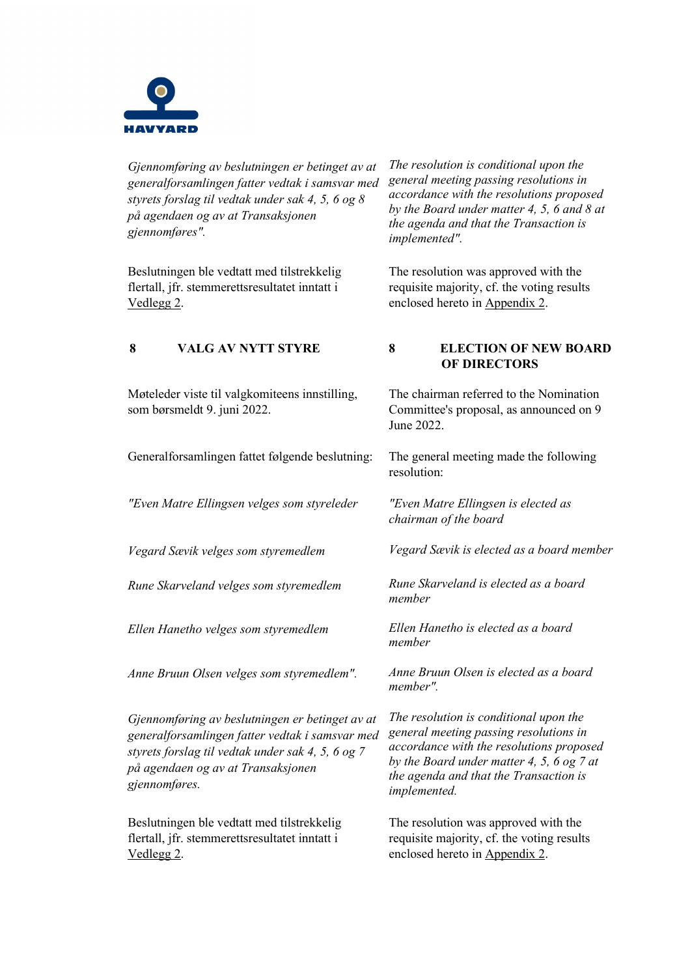

*Gjennomføring av beslutningen er betinget av at generalforsamlingen fatter vedtak i samsvar med styrets forslag til vedtak under sak 4, 5, 6 og 8 på agendaen og av at Transaksjonen gjennomføres".* 

Beslutningen ble vedtatt med tilstrekkelig flertall, jfr. stemmerettsresultatet inntatt i Vedlegg 2.

*The resolution is conditional upon the general meeting passing resolutions in accordance with the resolutions proposed by the Board under matter 4, 5, 6 and 8 at the agenda and that the Transaction is implemented".*

The resolution was approved with the requisite majority, cf. the voting results enclosed hereto in Appendix 2.

**OF DIRECTORS**

The chairman referred to the Nomination Committee's proposal, as announced on 9

| <b>VALG AV NYTT STYRE</b> | <b>ELECTION OF NEW BOARD</b> |
|---------------------------|------------------------------|
|---------------------------|------------------------------|

June 2022.

resolution:

*member*

*chairman of the board* 

Møteleder viste til valgkomiteens innstilling, som børsmeldt 9. juni 2022.

Generalforsamlingen fattet følgende beslutning: The general meeting made the following

*"Even Matre Ellingsen velges som styreleder "Even Matre Ellingsen is elected as* 

*Vegard Sævik velges som styremedlem Vegard Sævik is elected as a board member*

*Rune Skarveland velges som styremedlem Rune Skarveland is elected as a board* 

*Ellen Hanetho velges som styremedlem Ellen Hanetho is elected as a board* 

*Anne Bruun Olsen velges som styremedlem". Anne Bruun Olsen is elected as a board* 

*Gjennomføring av beslutningen er betinget av at generalforsamlingen fatter vedtak i samsvar med styrets forslag til vedtak under sak 4, 5, 6 og 7 på agendaen og av at Transaksjonen gjennomføres.* 

Beslutningen ble vedtatt med tilstrekkelig flertall, jfr. stemmerettsresultatet inntatt i Vedlegg 2.

*member*

*member".*

*The resolution is conditional upon the general meeting passing resolutions in accordance with the resolutions proposed by the Board under matter 4, 5, 6 og 7 at the agenda and that the Transaction is implemented.*

The resolution was approved with the requisite majority, cf. the voting results enclosed hereto in Appendix 2.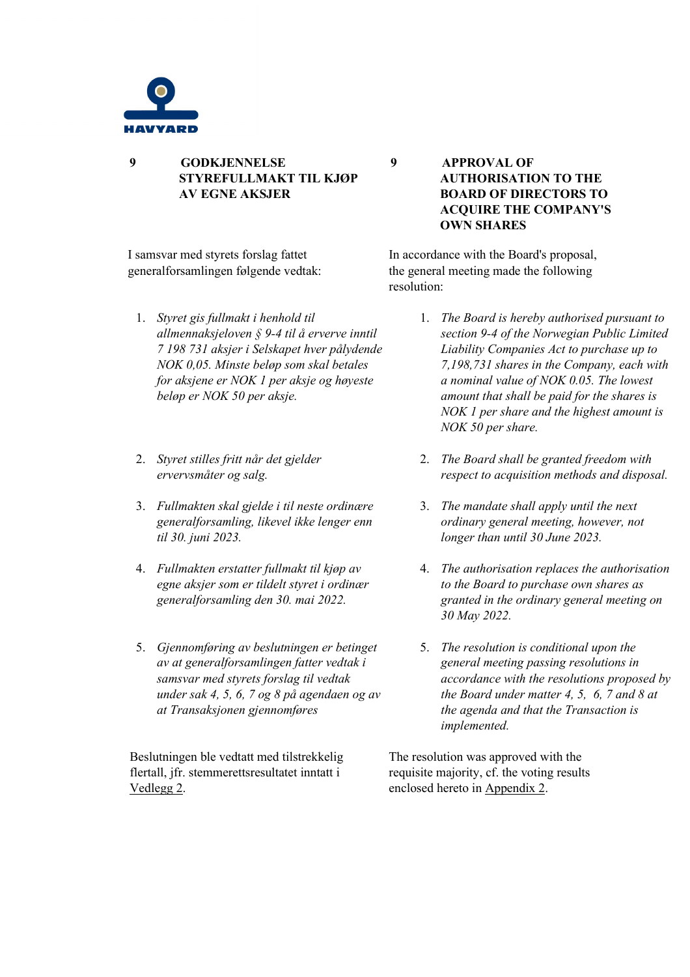

**9 GODKJENNELSE STYREFULLMAKT TIL KJØP AV EGNE AKSJER**

I samsvar med styrets forslag fattet generalforsamlingen følgende vedtak:

- 1. *Styret gis fullmakt i henhold til allmennaksjeloven § 9-4 til å erverve inntil 7 198 731 aksjer i Selskapet hver pålydende NOK 0,05. Minste beløp som skal betales for aksjene er NOK 1 per aksje og høyeste beløp er NOK 50 per aksje.*
- 2. *Styret stilles fritt når det gjelder ervervsmåter og salg.*
- 3. *Fullmakten skal gjelde i til neste ordinære generalforsamling, likevel ikke lenger enn til 30. juni 2023.*
- 4. *Fullmakten erstatter fullmakt til kjøp av egne aksjer som er tildelt styret i ordinær generalforsamling den 30. mai 2022.*
- 5. *Gjennomføring av beslutningen er betinget av at generalforsamlingen fatter vedtak i samsvar med styrets forslag til vedtak under sak 4, 5, 6, 7 og 8 på agendaen og av at Transaksjonen gjennomføres*

Beslutningen ble vedtatt med tilstrekkelig flertall, jfr. stemmerettsresultatet inntatt i Vedlegg 2.

**9 APPROVAL OF AUTHORISATION TO THE BOARD OF DIRECTORS TO ACQUIRE THE COMPANY'S OWN SHARES**

In accordance with the Board's proposal, the general meeting made the following resolution:

- 1. *The Board is hereby authorised pursuant to section 9-4 of the Norwegian Public Limited Liability Companies Act to purchase up to 7,198,731 shares in the Company, each with a nominal value of NOK 0.05. The lowest amount that shall be paid for the shares is NOK 1 per share and the highest amount is NOK 50 per share.*
- 2. *The Board shall be granted freedom with respect to acquisition methods and disposal.*
- 3. *The mandate shall apply until the next ordinary general meeting, however, not longer than until 30 June 2023.*
- 4. *The authorisation replaces the authorisation to the Board to purchase own shares as granted in the ordinary general meeting on 30 May 2022.*
- 5. *The resolution is conditional upon the general meeting passing resolutions in accordance with the resolutions proposed by the Board under matter 4, 5, 6, 7 and 8 at the agenda and that the Transaction is implemented.*

The resolution was approved with the requisite majority, cf. the voting results enclosed hereto in Appendix 2.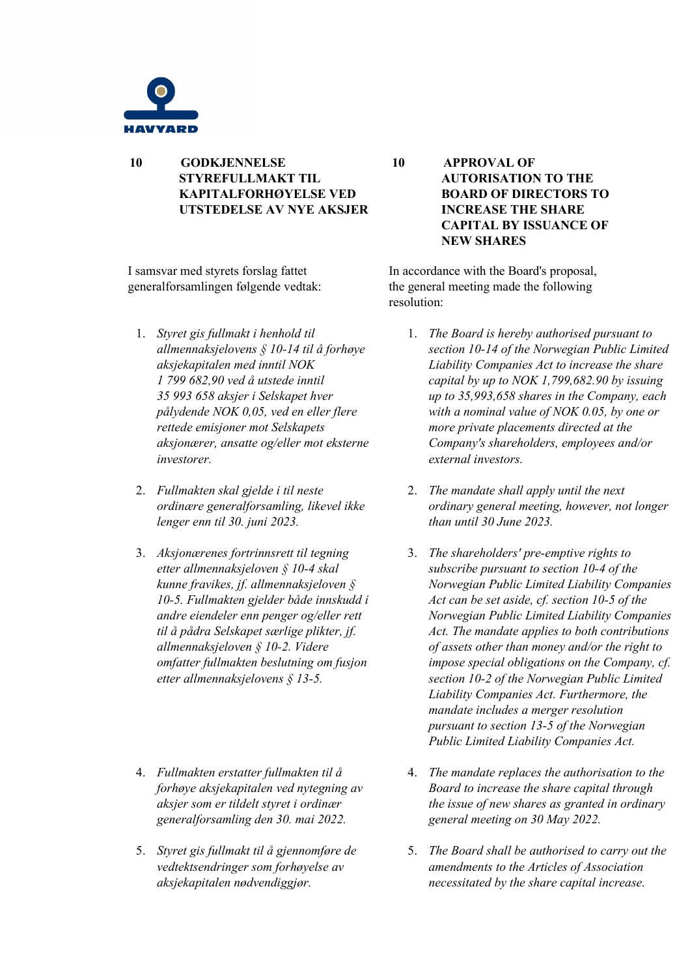

**10 GODKJENNELSE STYREFULLMAKT TIL KAPITALFORHØYELSE VED UTSTEDELSE AV NYE AKSJER**

I samsvar med styrets forslag fattet generalforsamlingen følgende vedtak:

- 1. *Styret gis fullmakt i henhold til allmennaksjelovens § 10-14 til å forhøye aksjekapitalen med inntil NOK 1 799 682,90 ved å utstede inntil 35 993 658 aksjer i Selskapet hver pålydende NOK 0,05, ved en eller flere rettede emisjoner mot Selskapets aksjonærer, ansatte og/eller mot eksterne investorer.*
- 2. *Fullmakten skal gjelde i til neste ordinære generalforsamling, likevel ikke lenger enn til 30. juni 2023.*
- 3. *Aksjonærenes fortrinnsrett til tegning etter allmennaksjeloven § 10-4 skal kunne fravikes, jf. allmennaksjeloven § 10-5. Fullmakten gjelder både innskudd i andre eiendeler enn penger og/eller rett til å pådra Selskapet særlige plikter, jf. allmennaksjeloven § 10-2. Videre omfatter fullmakten beslutning om fusjon etter allmennaksjelovens § 13-5.*
- 4. *Fullmakten erstatter fullmakten til å forhøye aksjekapitalen ved nytegning av aksjer som er tildelt styret i ordinær generalforsamling den 30. mai 2022.*
- 5. *Styret gis fullmakt til å gjennomføre de vedtektsendringer som forhøyelse av aksjekapitalen nødvendiggjør.*

**10 APPROVAL OF AUTORISATION TO THE BOARD OF DIRECTORS TO INCREASE THE SHARE CAPITAL BY ISSUANCE OF NEW SHARES**

In accordance with the Board's proposal, the general meeting made the following resolution:

- 1. *The Board is hereby authorised pursuant to section 10-14 of the Norwegian Public Limited Liability Companies Act to increase the share capital by up to NOK 1,799,682.90 by issuing up to 35,993,658 shares in the Company, each with a nominal value of NOK 0.05, by one or more private placements directed at the Company's shareholders, employees and/or external investors.*
- 2. *The mandate shall apply until the next ordinary general meeting, however, not longer than until 30 June 2023.*
- 3. *The shareholders' pre-emptive rights to subscribe pursuant to section 10-4 of the Norwegian Public Limited Liability Companies Act can be set aside, cf. section 10-5 of the Norwegian Public Limited Liability Companies Act. The mandate applies to both contributions of assets other than money and/or the right to impose special obligations on the Company, cf. section 10-2 of the Norwegian Public Limited Liability Companies Act. Furthermore, the mandate includes a merger resolution pursuant to section 13-5 of the Norwegian Public Limited Liability Companies Act.*
- 4. *The mandate replaces the authorisation to the Board to increase the share capital through the issue of new shares as granted in ordinary general meeting on 30 May 2022.*
- 5. *The Board shall be authorised to carry out the amendments to the Articles of Association necessitated by the share capital increase.*